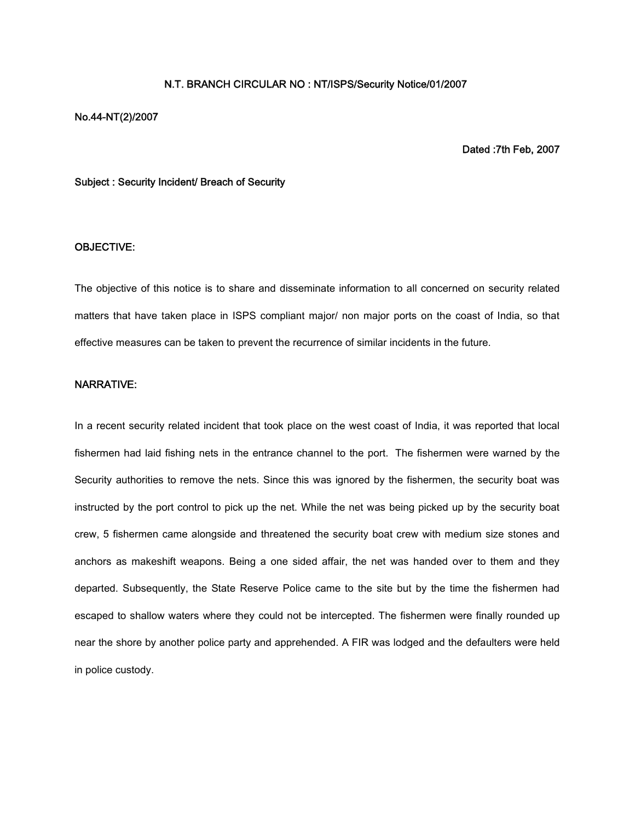#### **N.T. BRANCH CIRCULAR NO : NT/ISPS/Security Notice/01/2007**

#### **No.44-NT(2)/2007**

**Dated :7th Feb, 2007**

# **Subject : Security Incident/ Breach of Security**

### **OBJECTIVE:**

The objective of this notice is to share and disseminate information to all concerned on security related matters that have taken place in ISPS compliant major/ non major ports on the coast of India, so that effective measures can be taken to prevent the recurrence of similar incidents in the future.

### **NARRATIVE:**

In a recent security related incident that took place on the west coast of India, it was reported that local fishermen had laid fishing nets in the entrance channel to the port. The fishermen were warned by the Security authorities to remove the nets. Since this was ignored by the fishermen, the security boat was instructed by the port control to pick up the net. While the net was being picked up by the security boat crew, 5 fishermen came alongside and threatened the security boat crew with medium size stones and anchors as makeshift weapons. Being a one sided affair, the net was handed over to them and they departed. Subsequently, the State Reserve Police came to the site but by the time the fishermen had escaped to shallow waters where they could not be intercepted. The fishermen were finally rounded up near the shore by another police party and apprehended. A FIR was lodged and the defaulters were held in police custody.